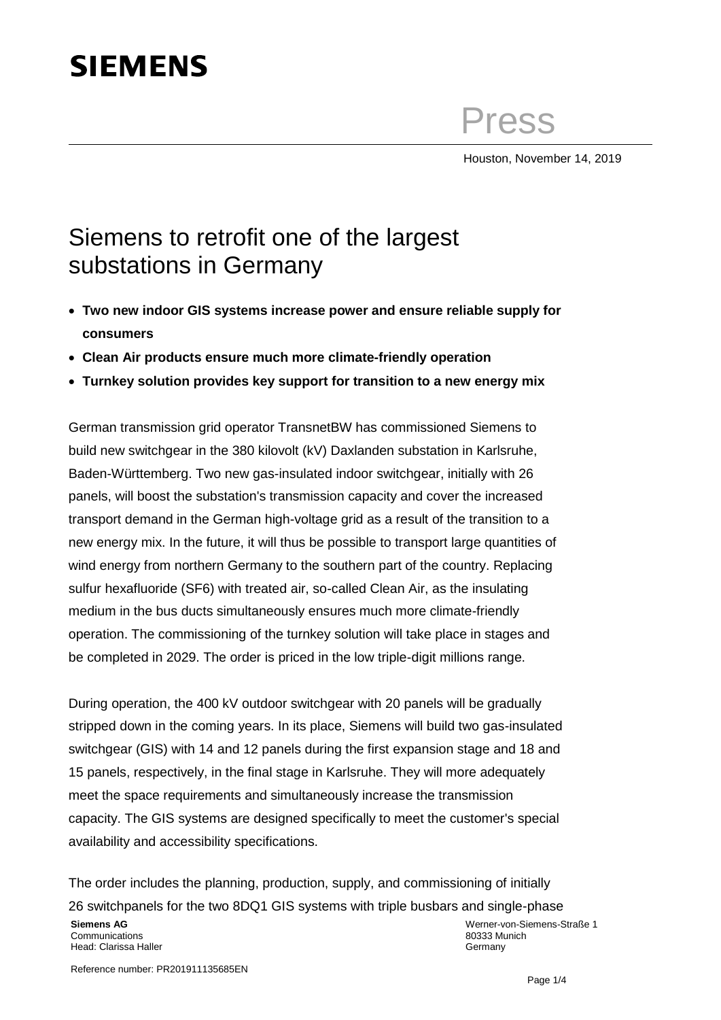# **SIEMENS**

Press

Houston, November 14, 2019

# Siemens to retrofit one of the largest substations in Germany

- **Two new indoor GIS systems increase power and ensure reliable supply for consumers**
- **Clean Air products ensure much more climate-friendly operation**
- **Turnkey solution provides key support for transition to a new energy mix**

German transmission grid operator TransnetBW has commissioned Siemens to build new switchgear in the 380 kilovolt (kV) Daxlanden substation in Karlsruhe, Baden-Württemberg. Two new gas-insulated indoor switchgear, initially with 26 panels, will boost the substation's transmission capacity and cover the increased transport demand in the German high-voltage grid as a result of the transition to a new energy mix. In the future, it will thus be possible to transport large quantities of wind energy from northern Germany to the southern part of the country. Replacing sulfur hexafluoride (SF6) with treated air, so-called Clean Air, as the insulating medium in the bus ducts simultaneously ensures much more climate-friendly operation. The commissioning of the turnkey solution will take place in stages and be completed in 2029. The order is priced in the low triple-digit millions range.

During operation, the 400 kV outdoor switchgear with 20 panels will be gradually stripped down in the coming years. In its place, Siemens will build two gas-insulated switchgear (GIS) with 14 and 12 panels during the first expansion stage and 18 and 15 panels, respectively, in the final stage in Karlsruhe. They will more adequately meet the space requirements and simultaneously increase the transmission capacity. The GIS systems are designed specifically to meet the customer's special availability and accessibility specifications.

The order includes the planning, production, supply, and commissioning of initially 26 switchpanels for the two 8DQ1 GIS systems with triple busbars and single-phase

#### **Siemens AG** Communications Head: Clarissa Haller

Werner-von-Siemens-Straße 1 80333 Munich Germany

Reference number: PR201911135685EN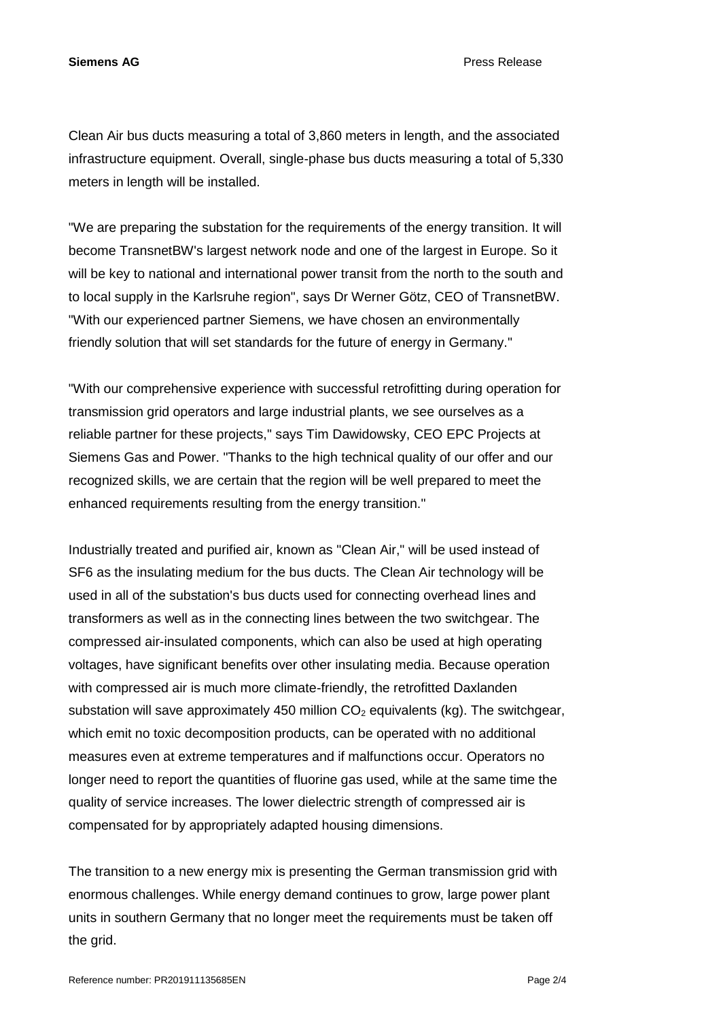**Siemens AG** Press Release

Clean Air bus ducts measuring a total of 3,860 meters in length, and the associated infrastructure equipment. Overall, single-phase bus ducts measuring a total of 5,330 meters in length will be installed.

"We are preparing the substation for the requirements of the energy transition. It will become TransnetBW's largest network node and one of the largest in Europe. So it will be key to national and international power transit from the north to the south and to local supply in the Karlsruhe region", says Dr Werner Götz, CEO of TransnetBW. "With our experienced partner Siemens, we have chosen an environmentally friendly solution that will set standards for the future of energy in Germany."

"With our comprehensive experience with successful retrofitting during operation for transmission grid operators and large industrial plants, we see ourselves as a reliable partner for these projects," says Tim Dawidowsky, CEO EPC Projects at Siemens Gas and Power. "Thanks to the high technical quality of our offer and our recognized skills, we are certain that the region will be well prepared to meet the enhanced requirements resulting from the energy transition."

Industrially treated and purified air, known as "Clean Air," will be used instead of SF6 as the insulating medium for the bus ducts. The Clean Air technology will be used in all of the substation's bus ducts used for connecting overhead lines and transformers as well as in the connecting lines between the two switchgear. The compressed air-insulated components, which can also be used at high operating voltages, have significant benefits over other insulating media. Because operation with compressed air is much more climate-friendly, the retrofitted Daxlanden substation will save approximately 450 million  $CO<sub>2</sub>$  equivalents (kg). The switchgear, which emit no toxic decomposition products, can be operated with no additional measures even at extreme temperatures and if malfunctions occur. Operators no longer need to report the quantities of fluorine gas used, while at the same time the quality of service increases. The lower dielectric strength of compressed air is compensated for by appropriately adapted housing dimensions.

The transition to a new energy mix is presenting the German transmission grid with enormous challenges. While energy demand continues to grow, large power plant units in southern Germany that no longer meet the requirements must be taken off the grid.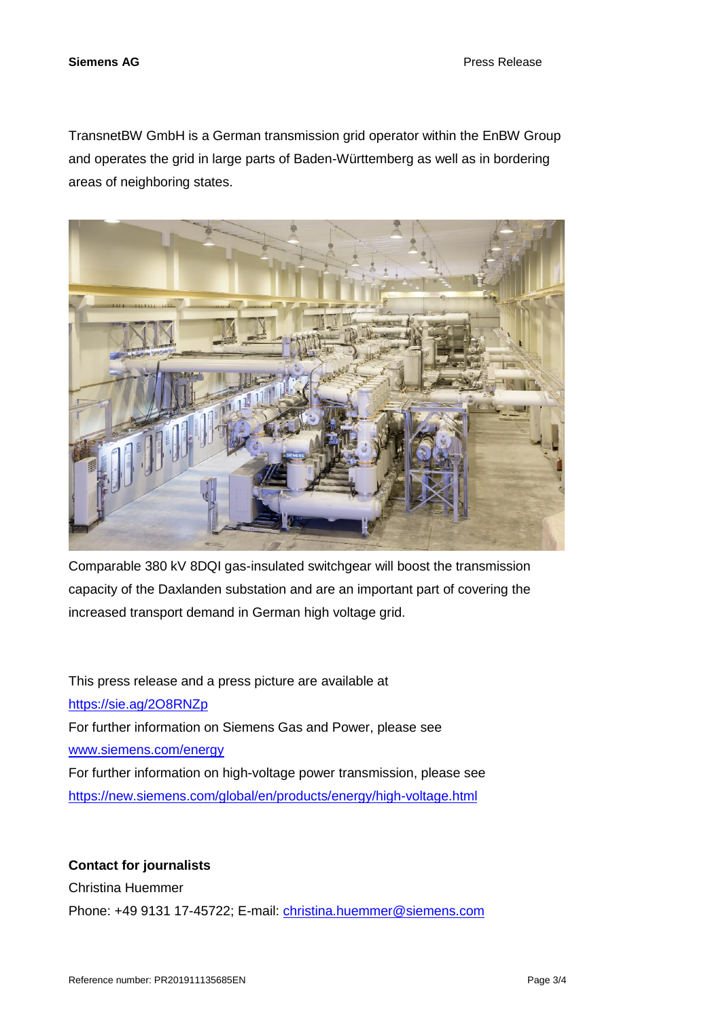**Siemens AG** Press Release

TransnetBW GmbH is a German transmission grid operator within the EnBW Group and operates the grid in large parts of Baden-Württemberg as well as in bordering areas of neighboring states.



Comparable 380 kV 8DQI gas-insulated switchgear will boost the transmission capacity of the Daxlanden substation and are an important part of covering the increased transport demand in German high voltage grid.

This press release and a press picture are available at <https://sie.ag/2O8RNZp> For further information on Siemens Gas and Power, please see [www.siemens.com/energy](http://www.siemens.com/energy) For further information on high-voltage power transmission, please see <https://new.siemens.com/global/en/products/energy/high-voltage.html>

## **Contact for journalists**

Christina Huemmer

Phone: +49 9131 17-45722; E-mail: [christina.huemmer@siemens.com](mailto:christina.huemmer@siemens.com)